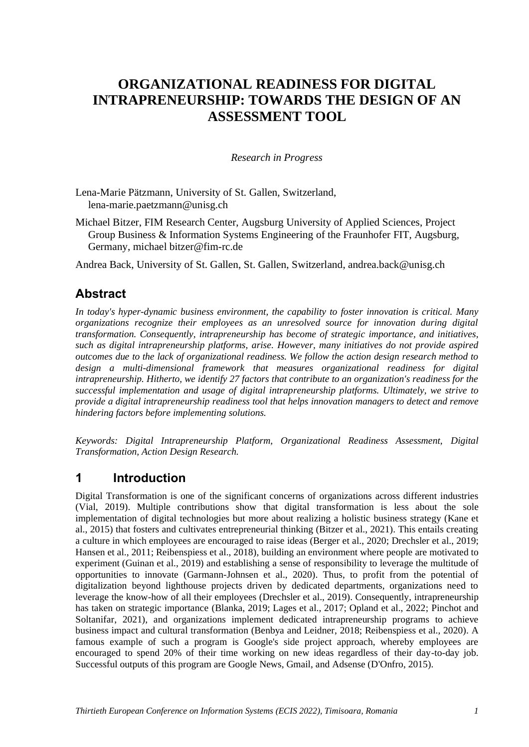# **ORGANIZATIONAL READINESS FOR DIGITAL INTRAPRENEURSHIP: TOWARDS THE DESIGN OF AN ASSESSMENT TOOL**

### *Research in Progress*

Lena-Marie Pätzmann, University of St. Gallen, Switzerland, lena-marie.paetzmann@unisg.ch

Michael Bitzer, FIM Research Center, Augsburg University of Applied Sciences, Project Group Business & Information Systems Engineering of the Fraunhofer FIT, Augsburg, Germany, michael bitzer@fim-rc.de

Andrea Back, University of St. Gallen, St. Gallen, Switzerland, andrea.back@unisg.ch

# **Abstract**

*In today's hyper-dynamic business environment, the capability to foster innovation is critical. Many organizations recognize their employees as an unresolved source for innovation during digital transformation. Consequently, intrapreneurship has become of strategic importance, and initiatives, such as digital intrapreneurship platforms, arise. However, many initiatives do not provide aspired outcomes due to the lack of organizational readiness. We follow the action design research method to design a multi-dimensional framework that measures organizational readiness for digital intrapreneurship. Hitherto, we identify 27 factors that contribute to an organization's readiness for the successful implementation and usage of digital intrapreneurship platforms. Ultimately, we strive to provide a digital intrapreneurship readiness tool that helps innovation managers to detect and remove hindering factors before implementing solutions.* 

*Keywords: Digital Intrapreneurship Platform, Organizational Readiness Assessment, Digital Transformation, Action Design Research.*

# **1 Introduction**

Digital Transformation is one of the significant concerns of organizations across different industries (Vial, 2019). Multiple contributions show that digital transformation is less about the sole implementation of digital technologies but more about realizing a holistic business strategy (Kane et al., 2015) that fosters and cultivates entrepreneurial thinking (Bitzer et al., 2021). This entails creating a culture in which employees are encouraged to raise ideas (Berger et al., 2020; Drechsler et al., 2019; Hansen et al., 2011; Reibenspiess et al., 2018), building an environment where people are motivated to experiment (Guinan et al., 2019) and establishing a sense of responsibility to leverage the multitude of opportunities to innovate (Garmann-Johnsen et al., 2020). Thus, to profit from the potential of digitalization beyond lighthouse projects driven by dedicated departments, organizations need to leverage the know-how of all their employees (Drechsler et al., 2019). Consequently, intrapreneurship has taken on strategic importance (Blanka, 2019; Lages et al., 2017; Opland et al., 2022; Pinchot and Soltanifar, 2021), and organizations implement dedicated intrapreneurship programs to achieve business impact and cultural transformation (Benbya and Leidner, 2018; Reibenspiess et al., 2020). A famous example of such a program is Google's side project approach, whereby employees are encouraged to spend 20% of their time working on new ideas regardless of their day-to-day job. Successful outputs of this program are Google News, Gmail, and Adsense (D'Onfro, 2015).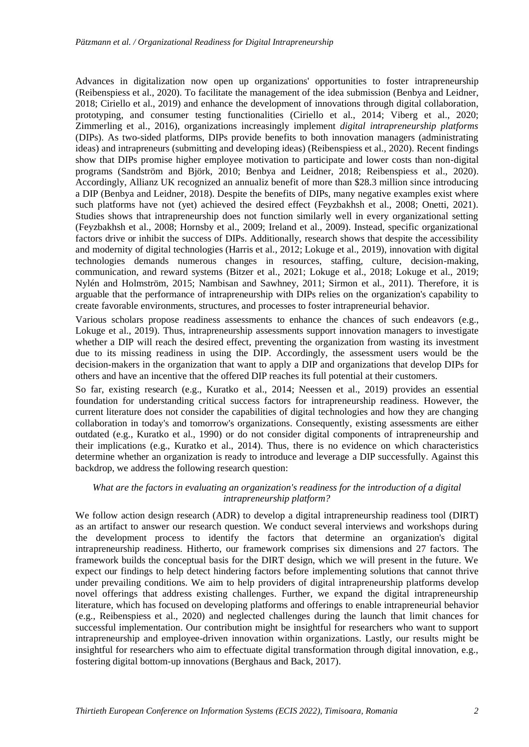Advances in digitalization now open up organizations' opportunities to foster intrapreneurship (Reibenspiess et al., 2020). To facilitate the management of the idea submission (Benbya and Leidner, 2018; Ciriello et al., 2019) and enhance the development of innovations through digital collaboration, prototyping, and consumer testing functionalities (Ciriello et al., 2014; Viberg et al., 2020; Zimmerling et al., 2016), organizations increasingly implement *digital intrapreneurship platforms* (DIPs). As two-sided platforms, DIPs provide benefits to both innovation managers (administrating ideas) and intrapreneurs (submitting and developing ideas) (Reibenspiess et al., 2020). Recent findings show that DIPs promise higher employee motivation to participate and lower costs than non-digital programs (Sandström and Björk, 2010; Benbya and Leidner, 2018; Reibenspiess et al., 2020). Accordingly, Allianz UK recognized an annualiz benefit of more than \$28.3 million since introducing a DIP (Benbya and Leidner, 2018). Despite the benefits of DIPs, many negative examples exist where such platforms have not (yet) achieved the desired effect (Feyzbakhsh et al., 2008; Onetti, 2021). Studies shows that intrapreneurship does not function similarly well in every organizational setting (Feyzbakhsh et al., 2008; Hornsby et al., 2009; Ireland et al., 2009). Instead, specific organizational factors drive or inhibit the success of DIPs. Additionally, research shows that despite the accessibility and modernity of digital technologies (Harris et al., 2012; Lokuge et al., 2019), innovation with digital technologies demands numerous changes in resources, staffing, culture, decision-making, communication, and reward systems (Bitzer et al., 2021; Lokuge et al., 2018; Lokuge et al., 2019; Nylén and Holmström, 2015; Nambisan and Sawhney, 2011; Sirmon et al., 2011). Therefore, it is arguable that the performance of intrapreneurship with DIPs relies on the organization's capability to create favorable environments, structures, and processes to foster intrapreneurial behavior.

Various scholars propose readiness assessments to enhance the chances of such endeavors (e.g., Lokuge et al., 2019). Thus, intrapreneurship assessments support innovation managers to investigate whether a DIP will reach the desired effect, preventing the organization from wasting its investment due to its missing readiness in using the DIP. Accordingly, the assessment users would be the decision-makers in the organization that want to apply a DIP and organizations that develop DIPs for others and have an incentive that the offered DIP reaches its full potential at their customers.

So far, existing research (e.g., Kuratko et al., 2014; Neessen et al., 2019) provides an essential foundation for understanding critical success factors for intrapreneurship readiness. However, the current literature does not consider the capabilities of digital technologies and how they are changing collaboration in today's and tomorrow's organizations. Consequently, existing assessments are either outdated (e.g., Kuratko et al., 1990) or do not consider digital components of intrapreneurship and their implications (e.g., Kuratko et al., 2014). Thus, there is no evidence on which characteristics determine whether an organization is ready to introduce and leverage a DIP successfully. Against this backdrop, we address the following research question:

#### *What are the factors in evaluating an organization's readiness for the introduction of a digital intrapreneurship platform?*

We follow action design research (ADR) to develop a digital intrapreneurship readiness tool (DIRT) as an artifact to answer our research question. We conduct several interviews and workshops during the development process to identify the factors that determine an organization's digital intrapreneurship readiness. Hitherto, our framework comprises six dimensions and 27 factors. The framework builds the conceptual basis for the DIRT design, which we will present in the future. We expect our findings to help detect hindering factors before implementing solutions that cannot thrive under prevailing conditions. We aim to help providers of digital intrapreneurship platforms develop novel offerings that address existing challenges. Further, we expand the digital intrapreneurship literature, which has focused on developing platforms and offerings to enable intrapreneurial behavior (e.g., Reibenspiess et al., 2020) and neglected challenges during the launch that limit chances for successful implementation. Our contribution might be insightful for researchers who want to support intrapreneurship and employee-driven innovation within organizations. Lastly, our results might be insightful for researchers who aim to effectuate digital transformation through digital innovation, e.g., fostering digital bottom-up innovations (Berghaus and Back, 2017).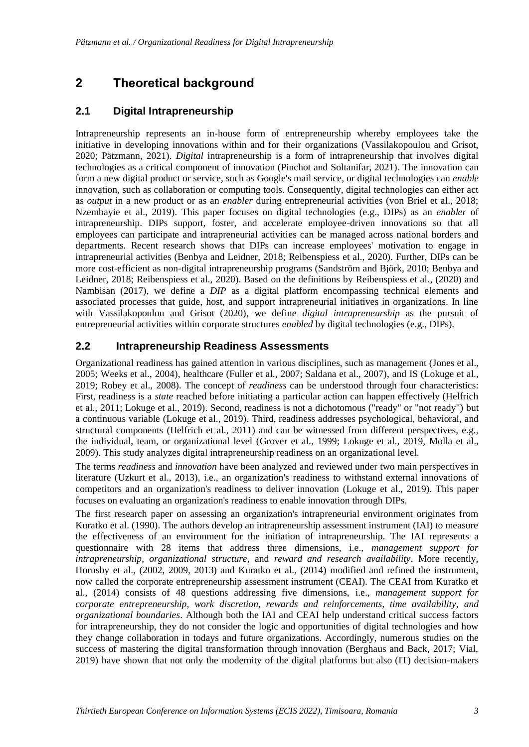# **2 Theoretical background**

## **2.1 Digital Intrapreneurship**

Intrapreneurship represents an in-house form of entrepreneurship whereby employees take the initiative in developing innovations within and for their organizations (Vassilakopoulou and Grisot, 2020; Pätzmann, 2021). *Digital* intrapreneurship is a form of intrapreneurship that involves digital technologies as a critical component of innovation (Pinchot and Soltanifar, 2021). The innovation can form a new digital product or service, such as Google's mail service, or digital technologies can *enable* innovation, such as collaboration or computing tools. Consequently, digital technologies can either act as *output* in a new product or as an *enabler* during entrepreneurial activities (von Briel et al., 2018; Nzembayie et al., 2019). This paper focuses on digital technologies (e.g., DIPs) as an *enabler* of intrapreneurship. DIPs support, foster, and accelerate employee-driven innovations so that all employees can participate and intrapreneurial activities can be managed across national borders and departments. Recent research shows that DIPs can increase employees' motivation to engage in intrapreneurial activities (Benbya and Leidner, 2018; Reibenspiess et al., 2020). Further, DIPs can be more cost-efficient as non-digital intrapreneurship programs (Sandström and Björk, 2010; Benbya and Leidner, 2018; Reibenspiess et al., 2020). Based on the definitions by Reibenspiess et al., (2020) and Nambisan (2017), we define a *DIP* as a digital platform encompassing technical elements and associated processes that guide, host, and support intrapreneurial initiatives in organizations. In line with Vassilakopoulou and Grisot (2020), we define *digital intrapreneurship* as the pursuit of entrepreneurial activities within corporate structures *enabled* by digital technologies (e.g., DIPs).

## **2.2 Intrapreneurship Readiness Assessments**

Organizational readiness has gained attention in various disciplines, such as management (Jones et al., 2005; Weeks et al., 2004), healthcare (Fuller et al., 2007; Saldana et al., 2007), and IS (Lokuge et al., 2019; Robey et al., 2008). The concept of *readiness* can be understood through four characteristics: First, readiness is a *state* reached before initiating a particular action can happen effectively (Helfrich et al., 2011; Lokuge et al., 2019). Second, readiness is not a dichotomous ("ready" or "not ready") but a continuous variable (Lokuge et al., 2019). Third, readiness addresses psychological, behavioral, and structural components (Helfrich et al., 2011) and can be witnessed from different perspectives, e.g., the individual, team, or organizational level (Grover et al., 1999; Lokuge et al., 2019, Molla et al., 2009). This study analyzes digital intrapreneurship readiness on an organizational level.

The terms *readiness* and *innovation* have been analyzed and reviewed under two main perspectives in literature (Uzkurt et al., 2013), i.e., an organization's readiness to withstand external innovations of competitors and an organization's readiness to deliver innovation (Lokuge et al., 2019). This paper focuses on evaluating an organization's readiness to enable innovation through DIPs.

The first research paper on assessing an organization's intrapreneurial environment originates from Kuratko et al. (1990). The authors develop an intrapreneurship assessment instrument (IAI) to measure the effectiveness of an environment for the initiation of intrapreneurship. The IAI represents a questionnaire with 28 items that address three dimensions, i.e., *management support for intrapreneurship*, *organizational structure*, and *reward and research availability*. More recently, Hornsby et al., (2002, 2009, 2013) and Kuratko et al., (2014) modified and refined the instrument, now called the corporate entrepreneurship assessment instrument (CEAI). The CEAI from Kuratko et al., (2014) consists of 48 questions addressing five dimensions, i.e., *management support for corporate entrepreneurship, work discretion, rewards and reinforcements, time availability, and organizational boundaries*. Although both the IAI and CEAI help understand critical success factors for intrapreneurship, they do not consider the logic and opportunities of digital technologies and how they change collaboration in todays and future organizations. Accordingly, numerous studies on the success of mastering the digital transformation through innovation (Berghaus and Back, 2017; Vial, 2019) have shown that not only the modernity of the digital platforms but also (IT) decision-makers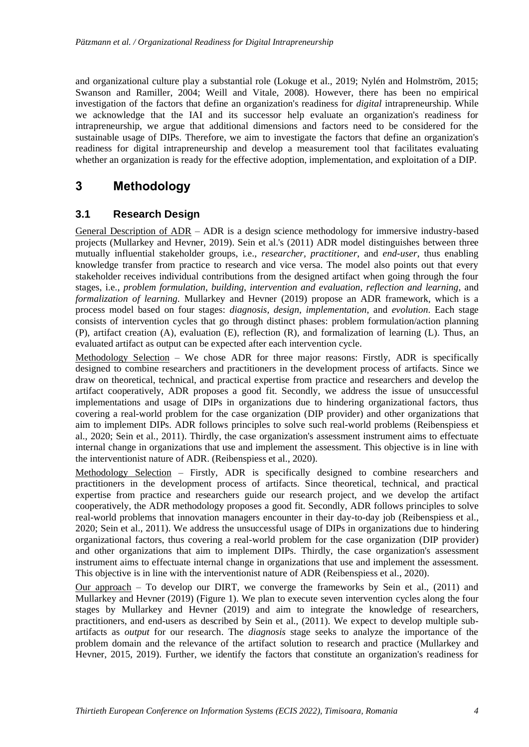and organizational culture play a substantial role (Lokuge et al., 2019; Nylén and Holmström, 2015; Swanson and Ramiller, 2004; Weill and Vitale, 2008). However, there has been no empirical investigation of the factors that define an organization's readiness for *digital* intrapreneurship. While we acknowledge that the IAI and its successor help evaluate an organization's readiness for intrapreneurship, we argue that additional dimensions and factors need to be considered for the sustainable usage of DIPs. Therefore, we aim to investigate the factors that define an organization's readiness for digital intrapreneurship and develop a measurement tool that facilitates evaluating whether an organization is ready for the effective adoption, implementation, and exploitation of a DIP.

# **3 Methodology**

## **3.1 Research Design**

General Description of ADR – ADR is a design science methodology for immersive industry-based projects (Mullarkey and Hevner, 2019). Sein et al.'s (2011) ADR model distinguishes between three mutually influential stakeholder groups, i.e., *researcher, practitioner*, and *end-user*, thus enabling knowledge transfer from practice to research and vice versa. The model also points out that every stakeholder receives individual contributions from the designed artifact when going through the four stages, i.e*., problem formulation*, *building, intervention and evaluation*, *reflection and learning*, and *formalization of learning*. Mullarkey and Hevner (2019) propose an ADR framework, which is a process model based on four stages: *diagnosis, design*, *implementation*, and *evolution*. Each stage consists of intervention cycles that go through distinct phases: problem formulation/action planning (P), artifact creation (A), evaluation (E), reflection (R), and formalization of learning (L). Thus, an evaluated artifact as output can be expected after each intervention cycle.

Methodology Selection – We chose ADR for three major reasons: Firstly, ADR is specifically designed to combine researchers and practitioners in the development process of artifacts. Since we draw on theoretical, technical, and practical expertise from practice and researchers and develop the artifact cooperatively, ADR proposes a good fit. Secondly, we address the issue of unsuccessful implementations and usage of DIPs in organizations due to hindering organizational factors, thus covering a real-world problem for the case organization (DIP provider) and other organizations that aim to implement DIPs. ADR follows principles to solve such real-world problems (Reibenspiess et al., 2020; Sein et al., 2011). Thirdly, the case organization's assessment instrument aims to effectuate internal change in organizations that use and implement the assessment. This objective is in line with the interventionist nature of ADR. (Reibenspiess et al., 2020).

Methodology Selection – Firstly, ADR is specifically designed to combine researchers and practitioners in the development process of artifacts. Since theoretical, technical, and practical expertise from practice and researchers guide our research project, and we develop the artifact cooperatively, the ADR methodology proposes a good fit. Secondly, ADR follows principles to solve real-world problems that innovation managers encounter in their day-to-day job (Reibenspiess et al., 2020; Sein et al., 2011). We address the unsuccessful usage of DIPs in organizations due to hindering organizational factors, thus covering a real-world problem for the case organization (DIP provider) and other organizations that aim to implement DIPs. Thirdly, the case organization's assessment instrument aims to effectuate internal change in organizations that use and implement the assessment. This objective is in line with the interventionist nature of ADR (Reibenspiess et al., 2020).

Our approach – To develop our DIRT, we converge the frameworks by Sein et al., (2011) and Mullarkey and Hevner (2019) (Figure 1). We plan to execute seven intervention cycles along the four stages by Mullarkey and Hevner (2019) and aim to integrate the knowledge of researchers, practitioners, and end-users as described by Sein et al., (2011). We expect to develop multiple subartifacts as *output* for our research. The *diagnosis* stage seeks to analyze the importance of the problem domain and the relevance of the artifact solution to research and practice (Mullarkey and Hevner, 2015, 2019). Further, we identify the factors that constitute an organization's readiness for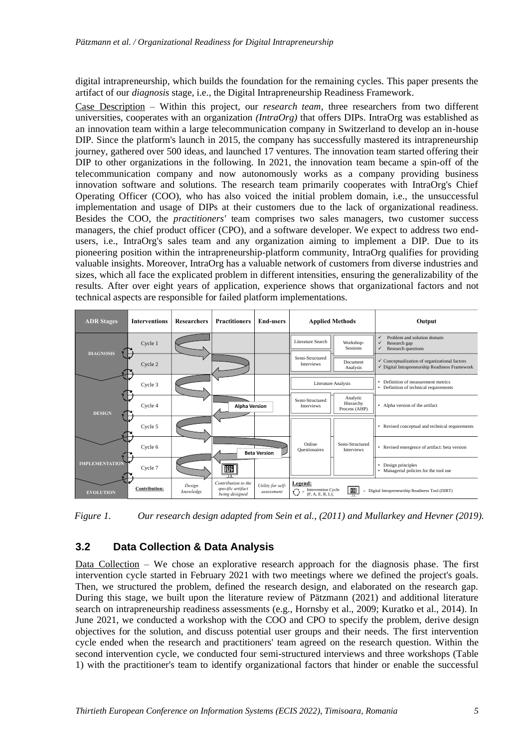digital intrapreneurship, which builds the foundation for the remaining cycles. This paper presents the artifact of our *diagnosis* stage, i.e., the Digital Intrapreneurship Readiness Framework.

Case Description – Within this project, our *research team*, three researchers from two different universities, cooperates with an organization *(IntraOrg)* that offers DIPs. IntraOrg was established as an innovation team within a large telecommunication company in Switzerland to develop an in-house DIP. Since the platform's launch in 2015, the company has successfully mastered its intrapreneurship journey, gathered over 500 ideas, and launched 17 ventures. The innovation team started offering their DIP to other organizations in the following. In 2021, the innovation team became a spin-off of the telecommunication company and now autonomously works as a company providing business innovation software and solutions. The research team primarily cooperates with IntraOrg's Chief Operating Officer (COO), who has also voiced the initial problem domain, i.e., the unsuccessful implementation and usage of DIPs at their customers due to the lack of organizational readiness. Besides the COO, the *practitioners'* team comprises two sales managers, two customer success managers, the chief product officer (CPO), and a software developer. We expect to address two endusers, i.e., IntraOrg's sales team and any organization aiming to implement a DIP. Due to its pioneering position within the intrapreneurship-platform community, IntraOrg qualifies for providing valuable insights. Moreover, IntraOrg has a valuable network of customers from diverse industries and sizes, which all face the explicated problem in different intensities, ensuring the generalizability of the results. After over eight years of application, experience shows that organizational factors and not technical aspects are responsible for failed platform implementations.

| <b>ADR Stages</b>     | <b>Interventions</b> | <b>Researchers</b>  | <b>Practitioners</b>                                       | <b>End-users</b>                | <b>Applied Methods</b>                                                                                         |                                        | Output                                                                                                                |
|-----------------------|----------------------|---------------------|------------------------------------------------------------|---------------------------------|----------------------------------------------------------------------------------------------------------------|----------------------------------------|-----------------------------------------------------------------------------------------------------------------------|
|                       | Cycle 1              |                     |                                                            |                                 | Literature Search                                                                                              | Workshop-<br><b>Sessions</b>           | $\checkmark$<br>Problem and solution domain<br>$\checkmark$<br>Research gap<br>Research questions<br>✓                |
| <b>DIAGNOSIS</b>      | Cycle 2              |                     |                                                            |                                 | Semi-Structured<br><b>Interviews</b>                                                                           | Document<br>Analysis                   | $\checkmark$ Conceptualization of organizational factors<br>$\checkmark$ Digital Intrapreneurship Readiness Framework |
|                       | Cycle 3              |                     |                                                            |                                 | Literature Analysis                                                                                            |                                        | Definition of measurement metrics<br>۰<br>• Definition of technical requirements                                      |
| <b>DESIGN</b>         | Cycle 4              |                     | <b>Alpha Version</b>                                       |                                 | Semi-Structured<br>Interviews                                                                                  | Analytic<br>Hierarchy<br>Process (AHP) | • Alpha version of the artifact                                                                                       |
|                       | Cycle 5              |                     |                                                            |                                 |                                                                                                                |                                        | • Revised conceptual and technical requirements                                                                       |
|                       | Cycle 6              |                     |                                                            | <b>Beta Version</b>             | Online<br><b>Questionaires</b>                                                                                 | Semi-Structured<br><b>Interviews</b>   | • Revised emergence of artifact: beta version                                                                         |
| <b>IMPLEMENTATION</b> | Cycle 7              |                     | 冊                                                          |                                 |                                                                                                                |                                        | Design principles<br>• Managerial policies for the tool use                                                           |
| <b>EVOLUTION</b>      | <b>Contribution:</b> | Design<br>knowledge | Contribution to the<br>specific artifact<br>being designed | Utility for self-<br>assessment | Legend:<br>Intervention Cycle<br>(P, A, E, R, L);<br>$=$ Digital Intrapreneurship Readiness Tool (DIRT)<br>$=$ |                                        |                                                                                                                       |

*Figure 1. Our research design adapted from Sein et al., (2011) and Mullarkey and Hevner (2019).*

## **3.2 Data Collection & Data Analysis**

Data Collection – We chose an explorative research approach for the diagnosis phase. The first intervention cycle started in February 2021 with two meetings where we defined the project's goals. Then, we structured the problem, defined the research design, and elaborated on the research gap. During this stage, we built upon the literature review of Pätzmann (2021) and additional literature search on intrapreneurship readiness assessments (e.g., Hornsby et al., 2009; Kuratko et al., 2014). In June 2021, we conducted a workshop with the COO and CPO to specify the problem, derive design objectives for the solution, and discuss potential user groups and their needs. The first intervention cycle ended when the research and practitioners' team agreed on the research question. Within the second intervention cycle, we conducted four semi-structured interviews and three workshops (Table 1) with the practitioner's team to identify organizational factors that hinder or enable the successful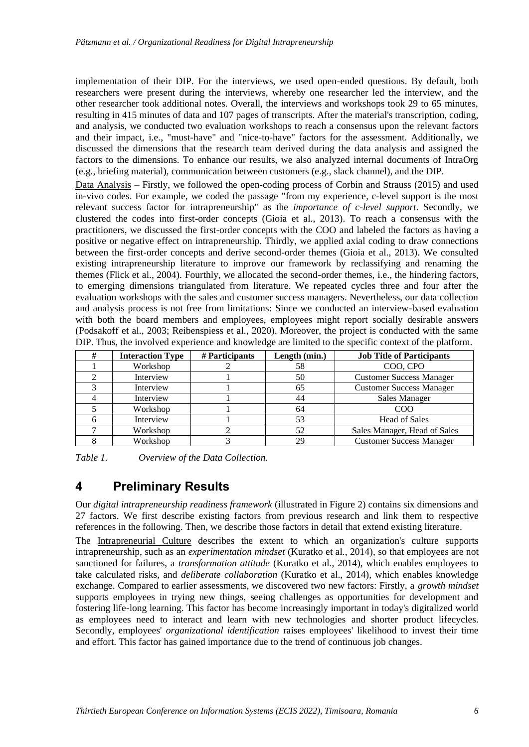implementation of their DIP. For the interviews, we used open-ended questions. By default, both researchers were present during the interviews, whereby one researcher led the interview, and the other researcher took additional notes. Overall, the interviews and workshops took 29 to 65 minutes, resulting in 415 minutes of data and 107 pages of transcripts. After the material's transcription, coding, and analysis, we conducted two evaluation workshops to reach a consensus upon the relevant factors and their impact, i.e., "must-have" and "nice-to-have" factors for the assessment. Additionally, we discussed the dimensions that the research team derived during the data analysis and assigned the factors to the dimensions. To enhance our results, we also analyzed internal documents of IntraOrg (e.g., briefing material), communication between customers (e.g., slack channel), and the DIP.

Data Analysis – Firstly, we followed the open-coding process of Corbin and Strauss (2015) and used in-vivo codes. For example, we coded the passage "from my experience, c-level support is the most relevant success factor for intrapreneurship" as the *importance of c-level support*. Secondly, we clustered the codes into first-order concepts (Gioia et al., 2013). To reach a consensus with the practitioners, we discussed the first-order concepts with the COO and labeled the factors as having a positive or negative effect on intrapreneurship. Thirdly, we applied axial coding to draw connections between the first-order concepts and derive second-order themes (Gioia et al., 2013). We consulted existing intrapreneurship literature to improve our framework by reclassifying and renaming the themes (Flick et al., 2004). Fourthly, we allocated the second-order themes, i.e., the hindering factors, to emerging dimensions triangulated from literature. We repeated cycles three and four after the evaluation workshops with the sales and customer success managers. Nevertheless, our data collection and analysis process is not free from limitations: Since we conducted an interview-based evaluation with both the board members and employees, employees might report socially desirable answers (Podsakoff et al., 2003; Reibenspiess et al., 2020). Moreover, the project is conducted with the same DIP. Thus, the involved experience and knowledge are limited to the specific context of the platform.

| # | <b>Interaction Type</b> | # Participants | Length (min.) | <b>Job Title of Participants</b> |
|---|-------------------------|----------------|---------------|----------------------------------|
|   | Workshop                |                | 58            | COO, CPO                         |
|   | Interview               |                | 50            | <b>Customer Success Manager</b>  |
|   | Interview               |                | 65            | <b>Customer Success Manager</b>  |
|   | Interview               |                | 44            | <b>Sales Manager</b>             |
|   | Workshop                |                | 64            | C <sub>O</sub> O                 |
|   | Interview               |                | 53            | <b>Head of Sales</b>             |
|   | Workshop                |                | 52            | Sales Manager, Head of Sales     |
|   | Workshop                |                | 29            | <b>Customer Success Manager</b>  |

| Table 1. |  | Overview of the Data Collection. |  |
|----------|--|----------------------------------|--|
|----------|--|----------------------------------|--|

# **4 Preliminary Results**

Our *digital intrapreneurship readiness framework* (illustrated in Figure 2) contains six dimensions and 27 factors. We first describe existing factors from previous research and link them to respective references in the following. Then, we describe those factors in detail that extend existing literature.

The Intrapreneurial Culture describes the extent to which an organization's culture supports intrapreneurship, such as an *experimentation mindset* (Kuratko et al., 2014), so that employees are not sanctioned for failures, a *transformation attitude* (Kuratko et al., 2014), which enables employees to take calculated risks, and *deliberate collaboration* (Kuratko et al., 2014), which enables knowledge exchange. Compared to earlier assessments, we discovered two new factors: Firstly, a *growth mindset* supports employees in trying new things, seeing challenges as opportunities for development and fostering life-long learning. This factor has become increasingly important in today's digitalized world as employees need to interact and learn with new technologies and shorter product lifecycles. Secondly, employees' *organizational identification* raises employees' likelihood to invest their time and effort. This factor has gained importance due to the trend of continuous job changes.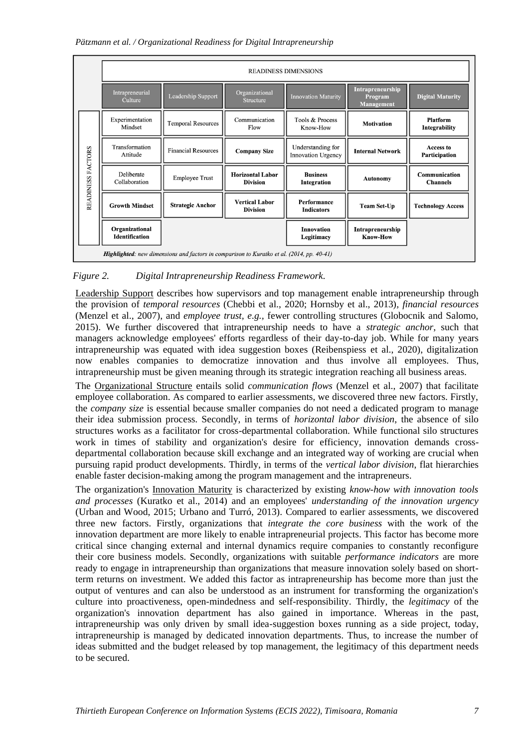#### *Pätzmann et al. / Organizational Readiness for Digital Intrapreneurship*

|                                                                                                   | <b>READINESS DIMENSIONS</b>             |                            |                                            |                                                |                                                  |                                  |  |
|---------------------------------------------------------------------------------------------------|-----------------------------------------|----------------------------|--------------------------------------------|------------------------------------------------|--------------------------------------------------|----------------------------------|--|
|                                                                                                   | Intrapreneurial<br>Culture              | Leadership Support         | Organizational<br><b>Structure</b>         | <b>Innovation Maturity</b>                     | Intrapreneurship<br>Program<br><b>Management</b> | <b>Digital Maturity</b>          |  |
|                                                                                                   | Experimentation<br>Mindset              | <b>Temporal Resources</b>  | Communication<br>Flow                      | Tools & Process<br>Know-How                    | <b>Motivation</b>                                | Platform<br>Integrability        |  |
| FACTORS                                                                                           | Transformation<br>Attitude              | <b>Financial Resources</b> | <b>Company Size</b>                        | Understanding for<br><b>Innovation Urgency</b> | <b>Internal Network</b>                          | Access to<br>Participation       |  |
|                                                                                                   | Deliberate<br>Collaboration             | <b>Employee Trust</b>      | <b>Horizontal Labor</b><br><b>Division</b> | <b>Business</b><br>Integration                 | <b>Autonomy</b>                                  | Communication<br><b>Channels</b> |  |
| READINESS                                                                                         | <b>Growth Mindset</b>                   | <b>Strategic Anchor</b>    | <b>Vertical Labor</b><br><b>Division</b>   | Performance<br><b>Indicators</b>               | <b>Team Set-Up</b>                               | <b>Technology Access</b>         |  |
|                                                                                                   | Organizational<br><b>Identification</b> |                            |                                            | <b>Innovation</b><br>Legitimacy                | Intrapreneurship<br><b>Know-How</b>              |                                  |  |
| <b>Highlighted</b> : new dimensions and factors in comparison to Kuratko et al. (2014, pp. 40-41) |                                         |                            |                                            |                                                |                                                  |                                  |  |

### *Figure 2. Digital Intrapreneurship Readiness Framework.*

Leadership Support describes how supervisors and top management enable intrapreneurship through the provision of *temporal resources* (Chebbi et al., 2020; Hornsby et al., 2013)*, financial resources*  (Menzel et al., 2007), and *employee trust, e.g.,* fewer controlling structures (Globocnik and Salomo, 2015). We further discovered that intrapreneurship needs to have a *strategic anchor*, such that managers acknowledge employees' efforts regardless of their day-to-day job. While for many years intrapreneurship was equated with idea suggestion boxes (Reibenspiess et al., 2020), digitalization now enables companies to democratize innovation and thus involve all employees. Thus, intrapreneurship must be given meaning through its strategic integration reaching all business areas.

The Organizational Structure entails solid *communication flows* (Menzel et al., 2007) that facilitate employee collaboration. As compared to earlier assessments, we discovered three new factors. Firstly, the *company size* is essential because smaller companies do not need a dedicated program to manage their idea submission process. Secondly, in terms of *horizontal labor division*, the absence of silo structures works as a facilitator for cross-departmental collaboration. While functional silo structures work in times of stability and organization's desire for efficiency, innovation demands crossdepartmental collaboration because skill exchange and an integrated way of working are crucial when pursuing rapid product developments. Thirdly, in terms of the *vertical labor division*, flat hierarchies enable faster decision-making among the program management and the intrapreneurs.

The organization's Innovation Maturity is characterized by existing *know-how with innovation tools and processes* (Kuratko et al., 2014) and an employees' *understanding of the innovation urgency* (Urban and Wood, 2015; Urbano and Turró, 2013). Compared to earlier assessments, we discovered three new factors. Firstly, organizations that *integrate the core business* with the work of the innovation department are more likely to enable intrapreneurial projects. This factor has become more critical since changing external and internal dynamics require companies to constantly reconfigure their core business models. Secondly, organizations with suitable *performance indicators* are more ready to engage in intrapreneurship than organizations that measure innovation solely based on shortterm returns on investment. We added this factor as intrapreneurship has become more than just the output of ventures and can also be understood as an instrument for transforming the organization's culture into proactiveness, open-mindedness and self-responsibility. Thirdly, the *legitimacy* of the organization's innovation department has also gained in importance. Whereas in the past, intrapreneurship was only driven by small idea-suggestion boxes running as a side project, today, intrapreneurship is managed by dedicated innovation departments. Thus, to increase the number of ideas submitted and the budget released by top management, the legitimacy of this department needs to be secured.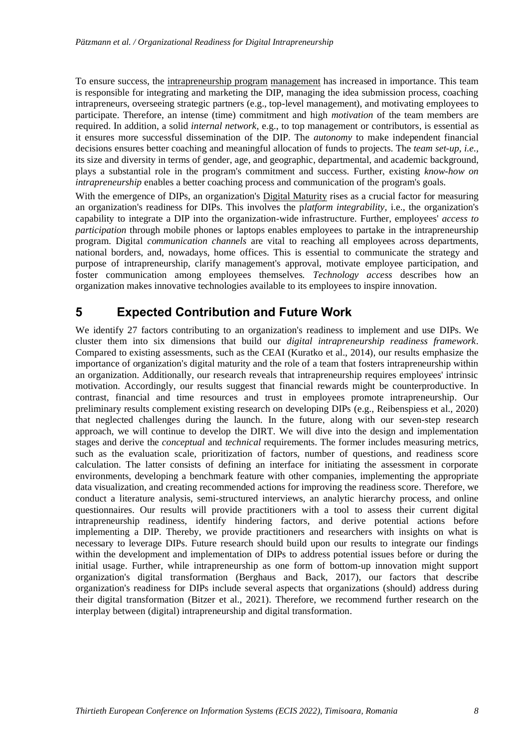To ensure success, the intrapreneurship program management has increased in importance. This team is responsible for integrating and marketing the DIP, managing the idea submission process, coaching intrapreneurs, overseeing strategic partners (e.g., top-level management), and motivating employees to participate. Therefore, an intense (time) commitment and high *motivation* of the team members are required. In addition, a solid *internal network*, e.g., to top management or contributors, is essential as it ensures more successful dissemination of the DIP. The *autonomy* to make independent financial decisions ensures better coaching and meaningful allocation of funds to projects. The *team set-up, i.e.,*  its size and diversity in terms of gender, age, and geographic, departmental, and academic background, plays a substantial role in the program's commitment and success. Further, existing *know-how on intrapreneurship* enables a better coaching process and communication of the program's goals.

With the emergence of DIPs, an organization's Digital Maturity rises as a crucial factor for measuring an organization's readiness for DIPs. This involves the p*latform integrability,* i.e., the organization's capability to integrate a DIP into the organization-wide infrastructure. Further, employees' *access to participation* through mobile phones or laptops enables employees to partake in the intrapreneurship program. Digital *communication channels* are vital to reaching all employees across departments, national borders, and, nowadays, home offices. This is essential to communicate the strategy and purpose of intrapreneurship, clarify management's approval, motivate employee participation, and foster communication among employees themselves. *Technology access* describes how an organization makes innovative technologies available to its employees to inspire innovation.

## **5 Expected Contribution and Future Work**

We identify 27 factors contributing to an organization's readiness to implement and use DIPs. We cluster them into six dimensions that build our *digital intrapreneurship readiness framework*. Compared to existing assessments, such as the CEAI (Kuratko et al., 2014), our results emphasize the importance of organization's digital maturity and the role of a team that fosters intrapreneurship within an organization. Additionally, our research reveals that intrapreneurship requires employees' intrinsic motivation. Accordingly, our results suggest that financial rewards might be counterproductive. In contrast, financial and time resources and trust in employees promote intrapreneurship. Our preliminary results complement existing research on developing DIPs (e.g., Reibenspiess et al., 2020) that neglected challenges during the launch. In the future, along with our seven-step research approach, we will continue to develop the DIRT. We will dive into the design and implementation stages and derive the *conceptual* and *technical* requirements. The former includes measuring metrics, such as the evaluation scale, prioritization of factors, number of questions, and readiness score calculation. The latter consists of defining an interface for initiating the assessment in corporate environments, developing a benchmark feature with other companies, implementing the appropriate data visualization, and creating recommended actions for improving the readiness score. Therefore, we conduct a literature analysis, semi-structured interviews, an analytic hierarchy process, and online questionnaires. Our results will provide practitioners with a tool to assess their current digital intrapreneurship readiness, identify hindering factors, and derive potential actions before implementing a DIP. Thereby, we provide practitioners and researchers with insights on what is necessary to leverage DIPs. Future research should build upon our results to integrate our findings within the development and implementation of DIPs to address potential issues before or during the initial usage. Further, while intrapreneurship as one form of bottom-up innovation might support organization's digital transformation (Berghaus and Back, 2017), our factors that describe organization's readiness for DIPs include several aspects that organizations (should) address during their digital transformation (Bitzer et al., 2021). Therefore, we recommend further research on the interplay between (digital) intrapreneurship and digital transformation.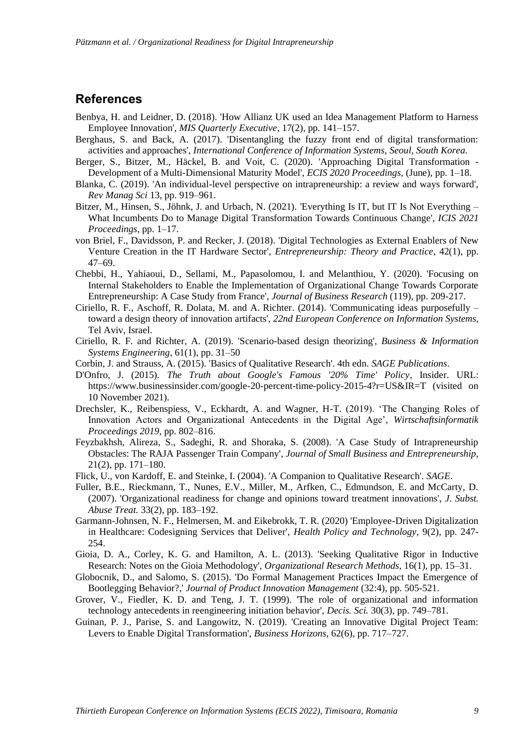### **References**

- Benbya, H. and Leidner, D. (2018). 'How Allianz UK used an Idea Management Platform to Harness Employee Innovation', *MIS Quarterly Executive*, 17(2), pp. 141–157.
- Berghaus, S. and Back, A. (2017). 'Disentangling the fuzzy front end of digital transformation: activities and approaches', *International Conference of Information Systems, Seoul, South Korea.*
- Berger, S., Bitzer, M., Häckel, B. and Voit, C. (2020). 'Approaching Digital Transformation Development of a Multi-Dimensional Maturity Model', *ECIS 2020 Proceedings*, (June), pp. 1–18.
- Blanka, C. (2019). 'An individual-level perspective on intrapreneurship: a review and ways forward', *Rev Manag Sci* 13, pp. 919–961.
- Bitzer, M., Hinsen, S., Jöhnk, J. and Urbach, N. (2021). 'Everything Is IT, but IT Is Not Everything What Incumbents Do to Manage Digital Transformation Towards Continuous Change', *ICIS 2021 Proceedings*, pp. 1–17.
- von Briel, F., Davidsson, P. and Recker, J. (2018). 'Digital Technologies as External Enablers of New Venture Creation in the IT Hardware Sector', *Entrepreneurship: Theory and Practice*, 42(1), pp. 47–69.
- Chebbi, H., Yahiaoui, D., Sellami, M., Papasolomou, I. and Melanthiou, Y. (2020). 'Focusing on Internal Stakeholders to Enable the Implementation of Organizational Change Towards Corporate Entrepreneurship: A Case Study from France', *Journal of Business Research* (119), pp. 209-217.
- Ciriello, R. F., Aschoff, R. Dolata, M. and A. Richter. (2014). 'Communicating ideas purposefully toward a design theory of innovation artifacts', *22nd European Conference on Information Systems,* Tel Aviv, Israel.
- Ciriello, R. F. and Richter, A. (2019). 'Scenario-based design theorizing', *Business & Information Systems Engineering*, 61(1), pp. 31–50
- Corbin, J. and Strauss, A. (2015). 'Basics of Qualitative Research'. 4th edn. *SAGE Publications*.
- D'Onfro, J. (2015). *The Truth about Google's Famous '20% Time' Policy*, Insider. URL: https://www.businessinsider.com/google-20-percent-time-policy-2015-4?r=US&IR=T (visited on 10 November 2021).
- Drechsler, K., Reibenspiess, V., Eckhardt, A. and Wagner, H-T. (2019). 'The Changing Roles of Innovation Actors and Organizational Antecedents in the Digital Age', *Wirtschaftsinformatik Proceedings 2019*, pp. 802–816.
- Feyzbakhsh, Alireza, S., Sadeghi, R. and Shoraka, S. (2008). 'A Case Study of Intrapreneurship Obstacles: The RAJA Passenger Train Company', *Journal of Small Business and Entrepreneurship*, 21(2), pp. 171–180.
- Flick, U., von Kardoff, E. and Steinke, I. (2004). 'A Companion to Qualitative Research'. *SAGE*.
- Fuller, B.E., Rieckmann, T., Nunes, E.V., Miller, M., Arfken, C., Edmundson, E. and McCarty, D. (2007). 'Organizational readiness for change and opinions toward treatment innovations', *J. Subst. Abuse Treat.* 33(2), pp. 183–192.
- Garmann-Johnsen, N. F., Helmersen, M. and Eikebrokk, T. R. (2020) 'Employee-Driven Digitalization in Healthcare: Codesigning Services that Deliver', *Health Policy and Technology*, 9(2), pp. 247- 254.
- Gioia, D. A., Corley, K. G. and Hamilton, A. L. (2013). 'Seeking Qualitative Rigor in Inductive Research: Notes on the Gioia Methodology', *Organizational Research Methods*, 16(1), pp. 15–31.
- Globocnik, D., and Salomo, S. (2015). 'Do Formal Management Practices Impact the Emergence of Bootlegging Behavior?,' *Journal of Product Innovation Management* (32:4), pp. 505-521.
- Grover, V., Fiedler, K. D. and Teng, J. T. (1999). 'The role of organizational and information technology antecedents in reengineering initiation behavior', *Decis. Sci.* 30(3), pp. 749–781.
- Guinan, P. J., Parise, S. and Langowitz, N. (2019). 'Creating an Innovative Digital Project Team: Levers to Enable Digital Transformation', *Business Horizons*, 62(6), pp. 717–727.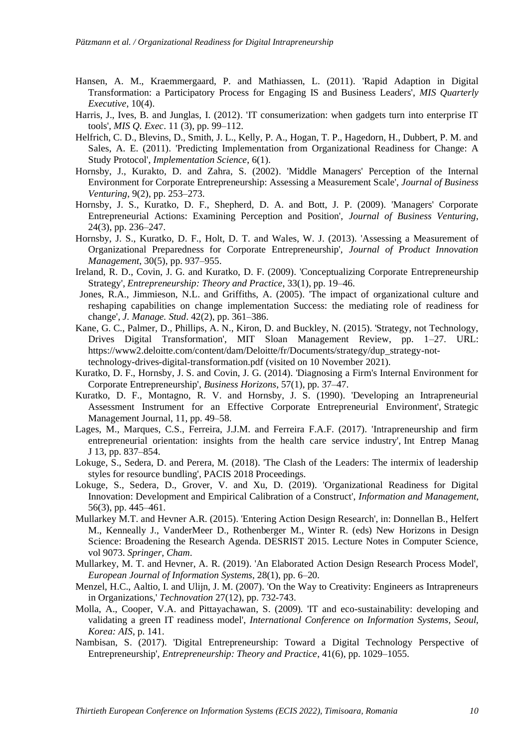- Hansen, A. M., Kraemmergaard, P. and Mathiassen, L. (2011). 'Rapid Adaption in Digital Transformation: a Participatory Process for Engaging IS and Business Leaders', *MIS Quarterly Executive*, 10(4).
- Harris, J., Ives, B. and Junglas, I. (2012). 'IT consumerization: when gadgets turn into enterprise IT tools', *MIS Q. Exec*. 11 (3), pp. 99–112.
- Helfrich, C. D., Blevins, D., Smith, J. L., Kelly, P. A., Hogan, T. P., Hagedorn, H., Dubbert, P. M. and Sales, A. E. (2011). 'Predicting Implementation from Organizational Readiness for Change: A Study Protocol', *Implementation Science*, 6(1).
- Hornsby, J., Kurakto, D. and Zahra, S. (2002). 'Middle Managers' Perception of the Internal Environment for Corporate Entrepreneurship: Assessing a Measurement Scale', *Journal of Business Venturing*, 9(2), pp. 253–273.
- Hornsby, J. S., Kuratko, D. F., Shepherd, D. A. and Bott, J. P. (2009). 'Managers' Corporate Entrepreneurial Actions: Examining Perception and Position', *Journal of Business Venturing*, 24(3), pp. 236–247.
- Hornsby, J. S., Kuratko, D. F., Holt, D. T. and Wales, W. J. (2013). 'Assessing a Measurement of Organizational Preparedness for Corporate Entrepreneurship', *Journal of Product Innovation Management*, 30(5), pp. 937–955.
- Ireland, R. D., Covin, J. G. and Kuratko, D. F. (2009). 'Conceptualizing Corporate Entrepreneurship Strategy', *Entrepreneurship: Theory and Practice*, 33(1), pp. 19–46.
- Jones, R.A., Jimmieson, N.L. and Griffiths, A. (2005). 'The impact of organizational culture and reshaping capabilities on change implementation Success: the mediating role of readiness for change', *J. Manage. Stud*. 42(2), pp. 361–386.
- Kane, G. C., Palmer, D., Phillips, A. N., Kiron, D. and Buckley, N. (2015). 'Strategy, not Technology, Drives Digital Transformation', MIT Sloan Management Review, pp. 1–27. URL: https://www2.deloitte.com/content/dam/Deloitte/fr/Documents/strategy/dup\_strategy-nottechnology-drives-digital-transformation.pdf (visited on 10 November 2021).
- Kuratko, D. F., Hornsby, J. S. and Covin, J. G. (2014). 'Diagnosing a Firm's Internal Environment for Corporate Entrepreneurship', *Business Horizons*, 57(1), pp. 37–47.
- Kuratko, D. F., Montagno, R. V. and Hornsby, J. S. (1990). 'Developing an Intrapreneurial Assessment Instrument for an Effective Corporate Entrepreneurial Environment', Strategic Management Journal, 11, pp. 49–58.
- Lages, M., Marques, C.S., Ferreira, J.J.M. and Ferreira F.A.F. (2017). 'Intrapreneurship and firm entrepreneurial orientation: insights from the health care service industry', Int Entrep Manag J 13, pp. 837–854.
- Lokuge, S., Sedera, D. and Perera, M. (2018). 'The Clash of the Leaders: The intermix of leadership styles for resource bundling', PACIS 2018 Proceedings*.*
- Lokuge, S., Sedera, D., Grover, V. and Xu, D. (2019). 'Organizational Readiness for Digital Innovation: Development and Empirical Calibration of a Construct', *Information and Management*, 56(3), pp. 445–461.
- Mullarkey M.T. and Hevner A.R. (2015). 'Entering Action Design Research', in: Donnellan B., Helfert M., Kenneally J., VanderMeer D., Rothenberger M., Winter R. (eds) New Horizons in Design Science: Broadening the Research Agenda. DESRIST 2015. Lecture Notes in Computer Science, vol 9073. *Springer, Cham*.
- Mullarkey, M. T. and Hevner, A. R. (2019). 'An Elaborated Action Design Research Process Model', *European Journal of Information Systems*, 28(1), pp. 6–20.
- Menzel, H.C., Aaltio, I. and Ulijn, J. M. (2007). 'On the Way to Creativity: Engineers as Intrapreneurs in Organizations,' *Technovation* 27(12), pp. 732-743.
- Molla, A., Cooper, V.A. and Pittayachawan, S. (2009). 'IT and eco-sustainability: developing and validating a green IT readiness model', *International Conference on Information Systems, Seoul, Korea: AIS*, p. 141.
- Nambisan, S. (2017). 'Digital Entrepreneurship: Toward a Digital Technology Perspective of Entrepreneurship', *Entrepreneurship: Theory and Practice*, 41(6), pp. 1029–1055.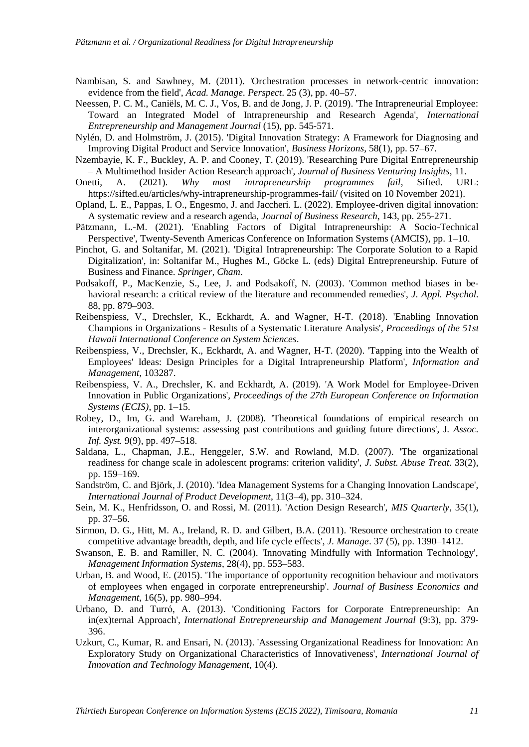- Nambisan, S. and Sawhney, M. (2011). 'Orchestration processes in network-centric innovation: evidence from the field', *Acad. Manage. Perspect*. 25 (3), pp. 40–57.
- Neessen, P. C. M., Caniëls, M. C. J., Vos, B. and de Jong, J. P. (2019). 'The Intrapreneurial Employee: Toward an Integrated Model of Intrapreneurship and Research Agenda', *International Entrepreneurship and Management Journal* (15), pp. 545-571.
- Nylén, D. and Holmström, J. (2015). 'Digital Innovation Strategy: A Framework for Diagnosing and Improving Digital Product and Service Innovation', *Business Horizons*, 58(1), pp. 57–67.
- Nzembayie, K. F., Buckley, A. P. and Cooney, T. (2019). 'Researching Pure Digital Entrepreneurship – A Multimethod Insider Action Research approach', *Journal of Business Venturing Insights*, 11.
- Onetti, A. (2021). *Why most intrapreneurship programmes fail*, Sifted. URL: https://sifted.eu/articles/why-intrapreneurship-programmes-fail/ (visited on 10 November 2021).
- Opland, L. E., Pappas, I. O., Engesmo, J. and Jaccheri. L. (2022). Employee-driven digital innovation: A systematic review and a research agenda, *Journal of Business Research*, 143, pp. 255-271.
- Pätzmann, L.-M. (2021). 'Enabling Factors of Digital Intrapreneurship: A Socio-Technical Perspective', Twenty-Seventh Americas Conference on Information Systems (AMCIS), pp. 1–10.
- Pinchot, G. and Soltanifar, M. (2021). 'Digital Intrapreneurship: The Corporate Solution to a Rapid Digitalization', in: Soltanifar M., Hughes M., Göcke L. (eds) Digital Entrepreneurship. Future of Business and Finance. *Springer, Cham*.
- Podsakoff, P., MacKenzie, S., Lee, J. and Podsakoff, N. (2003). 'Common method biases in behavioral research: a critical review of the literature and recommended remedies', *J. Appl. Psychol.* 88, pp. 879–903.
- Reibenspiess, V., Drechsler, K., Eckhardt, A. and Wagner, H-T. (2018). 'Enabling Innovation Champions in Organizations - Results of a Systematic Literature Analysis'*, Proceedings of the 51st Hawaii International Conference on System Sciences*.
- Reibenspiess, V., Drechsler, K., Eckhardt, A. and Wagner, H-T. (2020). 'Tapping into the Wealth of Employees' Ideas: Design Principles for a Digital Intrapreneurship Platform', *Information and Management*, 103287.
- Reibenspiess, V. A., Drechsler, K. and Eckhardt, A. (2019). 'A Work Model for Employee-Driven Innovation in Public Organizations', *Proceedings of the 27th European Conference on Information Systems (ECIS)*, pp. 1–15.
- Robey, D., Im, G. and Wareham, J. (2008). 'Theoretical foundations of empirical research on interorganizational systems: assessing past contributions and guiding future directions', J*. Assoc. Inf. Syst.* 9(9), pp. 497–518.
- Saldana, L., Chapman, J.E., Henggeler, S.W. and Rowland, M.D. (2007). 'The organizational readiness for change scale in adolescent programs: criterion validity', *J. Subst. Abuse Treat*. 33(2), pp. 159–169.
- Sandström, C. and Björk, J. (2010). 'Idea Management Systems for a Changing Innovation Landscape', *International Journal of Product Development*, 11(3–4), pp. 310–324.
- Sein, M. K., Henfridsson, O. and Rossi, M. (2011). 'Action Design Research', *MIS Quarterly*, 35(1), pp. 37–56.
- Sirmon, D. G., Hitt, M. A., Ireland, R. D. and Gilbert, B.A. (2011). 'Resource orchestration to create competitive advantage breadth, depth, and life cycle effects', *J. Manage*. 37 (5), pp. 1390–1412.
- Swanson, E. B. and Ramiller, N. C. (2004). 'Innovating Mindfully with Information Technology', *Management Information Systems*, 28(4), pp. 553–583.
- Urban, B. and Wood, E. (2015). 'The importance of opportunity recognition behaviour and motivators of employees when engaged in corporate entrepreneurship'. *Journal of Business Economics and Management*, 16(5), pp. 980–994.
- Urbano, D. and Turró, A. (2013). 'Conditioning Factors for Corporate Entrepreneurship: An in(ex)ternal Approach', *International Entrepreneurship and Management Journal* (9:3), pp. 379- 396.
- Uzkurt, C., Kumar, R. and Ensari, N. (2013). 'Assessing Organizational Readiness for Innovation: An Exploratory Study on Organizational Characteristics of Innovativeness', *International Journal of Innovation and Technology Management*, 10(4).